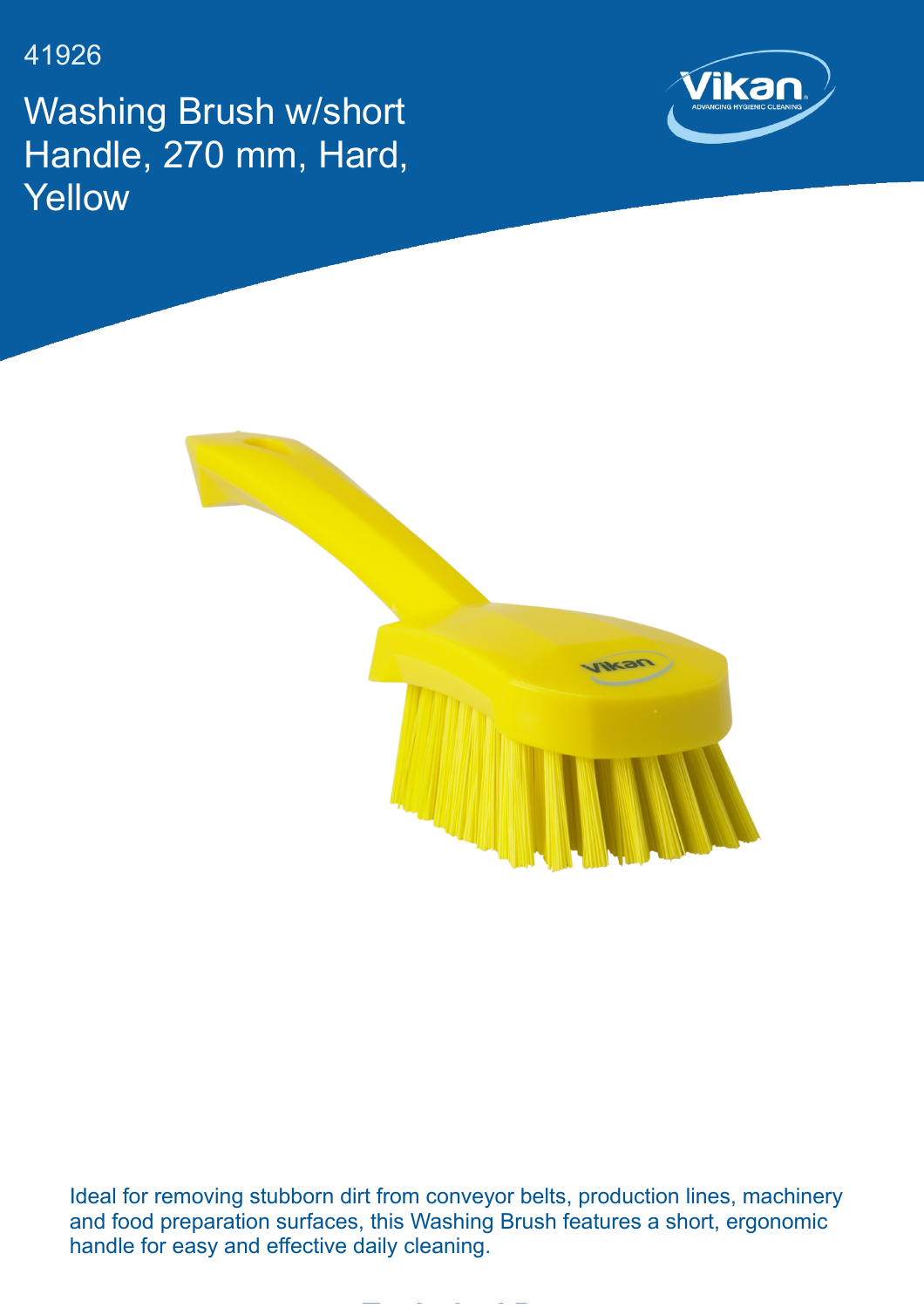41926

Washing Brush w/short Handle, 270 mm, Hard, **Yellow** 





Ideal for removing stubborn dirt from conveyor belts, production lines, machinery and food preparation surfaces, this Washing Brush features a short, ergonomic handle for easy and effective daily cleaning.

**Technical Data**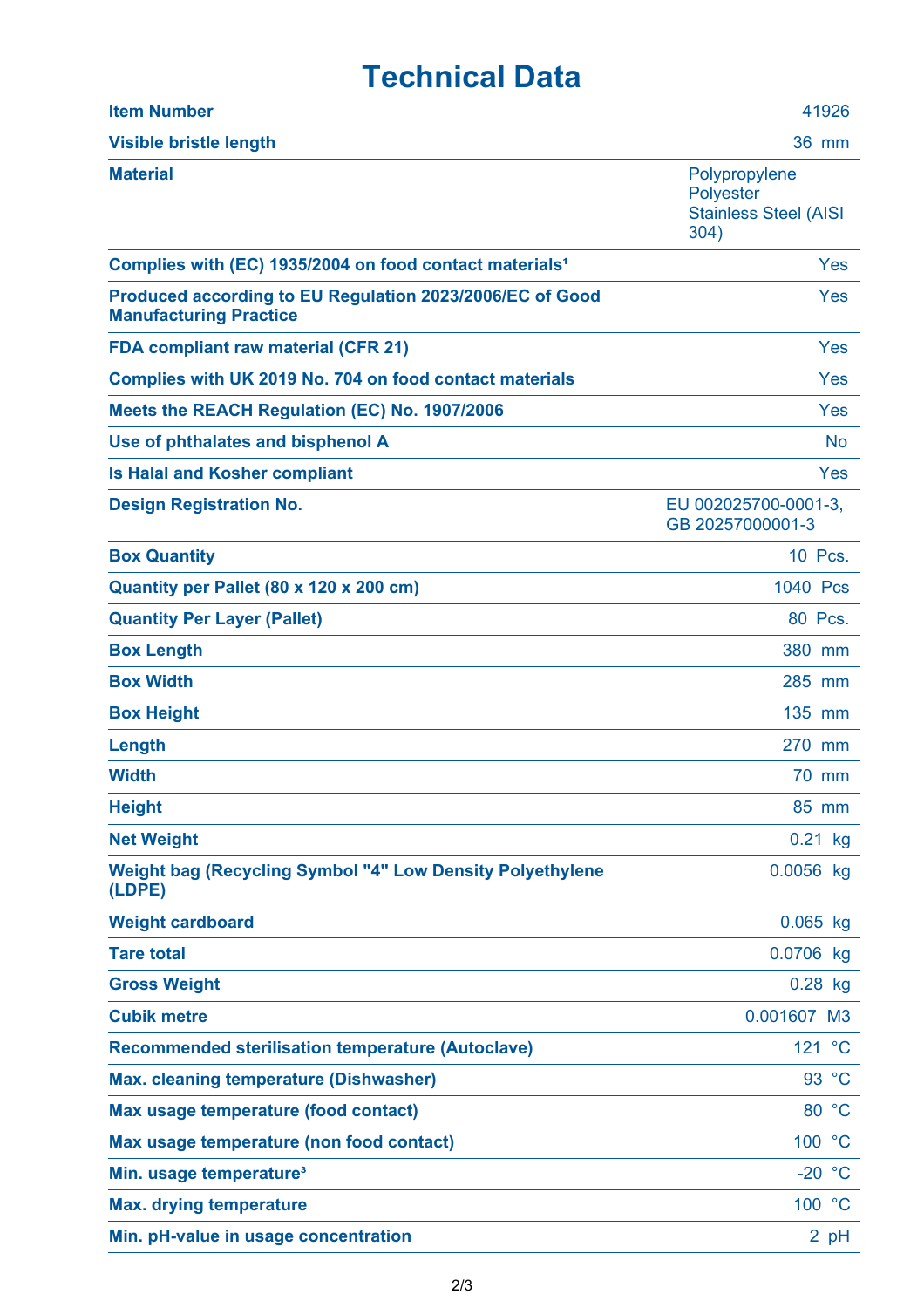## **Technical Data**

| <b>Item Number</b>                                                                        | 41926                                                                     |
|-------------------------------------------------------------------------------------------|---------------------------------------------------------------------------|
| <b>Visible bristle length</b>                                                             | 36 mm                                                                     |
| <b>Material</b>                                                                           | Polypropylene<br><b>Polyester</b><br><b>Stainless Steel (AISI</b><br>304) |
| Complies with (EC) 1935/2004 on food contact materials <sup>1</sup>                       | Yes                                                                       |
| Produced according to EU Regulation 2023/2006/EC of Good<br><b>Manufacturing Practice</b> | Yes                                                                       |
| <b>FDA compliant raw material (CFR 21)</b>                                                | Yes                                                                       |
| Complies with UK 2019 No. 704 on food contact materials                                   | Yes                                                                       |
| Meets the REACH Regulation (EC) No. 1907/2006                                             | Yes                                                                       |
| Use of phthalates and bisphenol A                                                         | <b>No</b>                                                                 |
| <b>Is Halal and Kosher compliant</b>                                                      | Yes                                                                       |
| <b>Design Registration No.</b>                                                            | EU 002025700-0001-3.<br>GB 20257000001-3                                  |
| <b>Box Quantity</b>                                                                       | 10 Pcs.                                                                   |
| Quantity per Pallet (80 x 120 x 200 cm)                                                   | 1040 Pcs                                                                  |
| <b>Quantity Per Layer (Pallet)</b>                                                        | 80 Pcs.                                                                   |
| <b>Box Length</b>                                                                         | 380 mm                                                                    |
| <b>Box Width</b>                                                                          | 285 mm                                                                    |
| <b>Box Height</b>                                                                         | 135 mm                                                                    |
| Length                                                                                    | 270<br>mm                                                                 |
| <b>Width</b>                                                                              | 70 mm                                                                     |
| <b>Height</b>                                                                             | 85 mm                                                                     |
| <b>Net Weight</b>                                                                         | $0.21$ kg                                                                 |
| <b>Weight bag (Recycling Symbol "4" Low Density Polyethylene</b><br>(LDPE)                | 0.0056 kg                                                                 |
| <b>Weight cardboard</b>                                                                   | $0.065$ kg                                                                |
| <b>Tare total</b>                                                                         | 0.0706 kg                                                                 |
| <b>Gross Weight</b>                                                                       | $0.28$ kg                                                                 |
| <b>Cubik metre</b>                                                                        | 0.001607 M3                                                               |
| <b>Recommended sterilisation temperature (Autoclave)</b>                                  | 121 °C                                                                    |
| <b>Max. cleaning temperature (Dishwasher)</b>                                             | 93 °C                                                                     |
| Max usage temperature (food contact)                                                      | 80 °C                                                                     |
| Max usage temperature (non food contact)                                                  | 100 °C                                                                    |
| Min. usage temperature <sup>3</sup>                                                       | $-20 °C$                                                                  |
| <b>Max. drying temperature</b>                                                            | 100 °C                                                                    |
| Min. pH-value in usage concentration                                                      | 2 pH                                                                      |